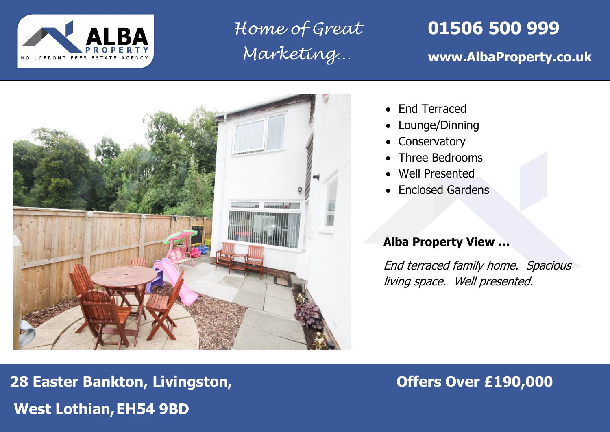

*Home of Great Marketing…*

# **01506 500 999**

**www.AlbaProperty.co.uk**



- End Terraced
- Lounge/Dinning
- Conservatory
- Three Bedrooms
- Well Presented
- Enclosed Gardens

### **Alba Property View …**

End terraced family home. Spacious living space. Well presented.

**28 Easter Bankton, Livingston, <b>Discription Offers Over £190,000 West Lothian,EH54 9BD**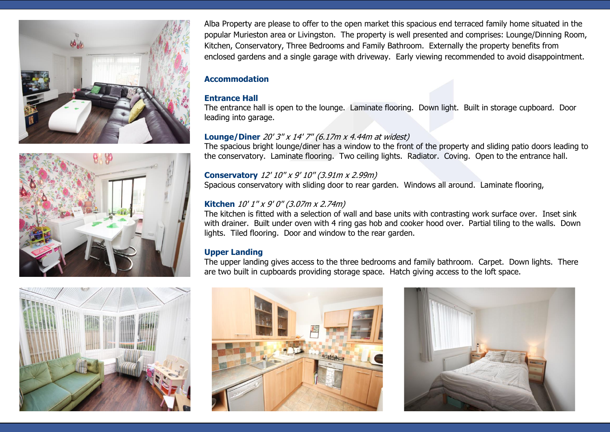





Alba Property are please to offer to the open market this spacious end terraced family home situated in the popular Murieston area or Livingston. The property is well presented and comprises: Lounge/Dinning Room, Kitchen, Conservatory, Three Bedrooms and Family Bathroom. Externally the property benefits from enclosed gardens and a single garage with driveway. Early viewing recommended to avoid disappointment.

#### **Accommodation**

#### **Entrance Hall**

The entrance hall is open to the lounge. Laminate flooring. Down light. Built in storage cupboard. Door leading into garage.

#### **Lounge/Diner** 20' 3'' x 14' 7'' (6.17m x 4.44m at widest)

The spacious bright lounge/diner has a window to the front of the property and sliding patio doors leading to the conservatory. Laminate flooring. Two ceiling lights. Radiator. Coving. Open to the entrance hall.

#### **Conservatory** 12' 10'' x 9' 10'' (3.91m x 2.99m)

Spacious conservatory with sliding door to rear garden. Windows all around. Laminate flooring,

#### **Kitchen** 10' 1'' x 9' 0'' (3.07m x 2.74m)

The kitchen is fitted with a selection of wall and base units with contrasting work surface over. Inset sink with drainer. Built under oven with 4 ring gas hob and cooker hood over. Partial tiling to the walls. Down lights. Tiled flooring. Door and window to the rear garden.

#### **Upper Landing**

The upper landing gives access to the three bedrooms and family bathroom. Carpet. Down lights. There are two built in cupboards providing storage space. Hatch giving access to the loft space.



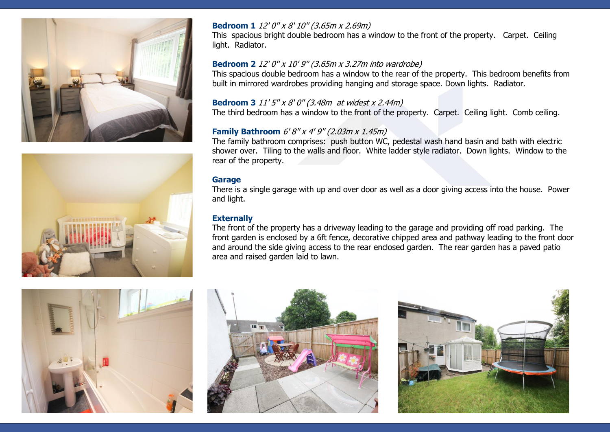



#### **Bedroom 1** 12' 0'' x 8' 10'' (3.65m x 2.69m)

This spacious bright double bedroom has a window to the front of the property. Carpet. Ceiling light. Radiator.

#### **Bedroom 2** 12' 0" x 10' 9" (3.65m x 3.27m into wardrobe)

This spacious double bedroom has a window to the rear of the property. This bedroom benefits from built in mirrored wardrobes providing hanging and storage space. Down lights. Radiator.

#### **Bedroom 3** 11' 5" x 8' 0" (3.48m at widest x 2.44m)

The third bedroom has a window to the front of the property. Carpet. Ceiling light. Comb ceiling.

#### **Family Bathroom** 6' 8" x 4' 9" (2.03m x 1.45m)

The family bathroom comprises: push button WC, pedestal wash hand basin and bath with electric shower over. Tiling to the walls and floor. White ladder style radiator. Down lights. Window to the rear of the property.

#### **Garage**

There is a single garage with up and over door as well as a door giving access into the house. Power and light.

#### **Externally**

The front of the property has a driveway leading to the garage and providing off road parking. The front garden is enclosed by a 6ft fence, decorative chipped area and pathway leading to the front door and around the side giving access to the rear enclosed garden. The rear garden has a paved patio area and raised garden laid to lawn.